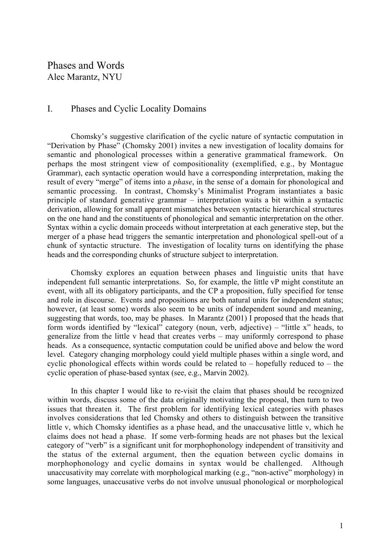# Phases and Words Alec Marantz, NYU

# I. Phases and Cyclic Locality Domains

Chomsky's suggestive clarification of the cyclic nature of syntactic computation in "Derivation by Phase" (Chomsky 2001) invites a new investigation of locality domains for semantic and phonological processes within a generative grammatical framework. On perhaps the most stringent view of compositionality (exemplified, e.g., by Montague Grammar), each syntactic operation would have a corresponding interpretation, making the result of every "merge" of items into a *phase*, in the sense of a domain for phonological and semantic processing. In contrast, Chomsky's Minimalist Program instantiates a basic principle of standard generative grammar – interpretation waits a bit within a syntactic derivation, allowing for small apparent mismatches between syntactic hierarchical structures on the one hand and the constituents of phonological and semantic interpretation on the other. Syntax within a cyclic domain proceeds without interpretation at each generative step, but the merger of a phase head triggers the semantic interpretation and phonological spell-out of a chunk of syntactic structure. The investigation of locality turns on identifying the phase heads and the corresponding chunks of structure subject to interpretation.

Chomsky explores an equation between phases and linguistic units that have independent full semantic interpretations. So, for example, the little vP might constitute an event, with all its obligatory participants, and the CP a proposition, fully specified for tense and role in discourse. Events and propositions are both natural units for independent status; however, (at least some) words also seem to be units of independent sound and meaning, suggesting that words, too, may be phases. In Marantz (2001) I proposed that the heads that form words identified by "lexical" category (noun, verb, adjective) – "little x" heads, to generalize from the little v head that creates verbs – may uniformly correspond to phase heads. As a consequence, syntactic computation could be unified above and below the word level. Category changing morphology could yield multiple phases within a single word, and cyclic phonological effects within words could be related to – hopefully reduced to – the cyclic operation of phase-based syntax (see, e.g., Marvin 2002).

In this chapter I would like to re-visit the claim that phases should be recognized within words, discuss some of the data originally motivating the proposal, then turn to two issues that threaten it. The first problem for identifying lexical categories with phases involves considerations that led Chomsky and others to distinguish between the transitive little v, which Chomsky identifies as a phase head, and the unaccusative little v, which he claims does not head a phase. If some verb-forming heads are not phases but the lexical category of "verb" is a significant unit for morphophonology independent of transitivity and the status of the external argument, then the equation between cyclic domains in morphophonology and cyclic domains in syntax would be challenged. Although unaccusativity may correlate with morphological marking (e.g., "non-active" morphology) in some languages, unaccusative verbs do not involve unusual phonological or morphological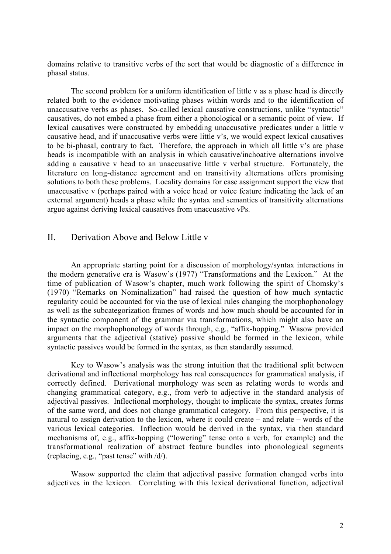domains relative to transitive verbs of the sort that would be diagnostic of a difference in phasal status.

The second problem for a uniform identification of little v as a phase head is directly related both to the evidence motivating phases within words and to the identification of unaccusative verbs as phases. So-called lexical causative constructions, unlike "syntactic" causatives, do not embed a phase from either a phonological or a semantic point of view. If lexical causatives were constructed by embedding unaccusative predicates under a little v causative head, and if unaccusative verbs were little v's, we would expect lexical causatives to be bi-phasal, contrary to fact. Therefore, the approach in which all little v's are phase heads is incompatible with an analysis in which causative/inchoative alternations involve adding a causative v head to an unaccusative little v verbal structure. Fortunately, the literature on long-distance agreement and on transitivity alternations offers promising solutions to both these problems. Locality domains for case assignment support the view that unaccusative v (perhaps paired with a voice head or voice feature indicating the lack of an external argument) heads a phase while the syntax and semantics of transitivity alternations argue against deriving lexical causatives from unaccusative vPs.

## II. Derivation Above and Below Little v

An appropriate starting point for a discussion of morphology/syntax interactions in the modern generative era is Wasow's (1977) "Transformations and the Lexicon." At the time of publication of Wasow's chapter, much work following the spirit of Chomsky's (1970) "Remarks on Nominalization" had raised the question of how much syntactic regularity could be accounted for via the use of lexical rules changing the morphophonology as well as the subcategorization frames of words and how much should be accounted for in the syntactic component of the grammar via transformations, which might also have an impact on the morphophonology of words through, e.g., "affix-hopping." Wasow provided arguments that the adjectival (stative) passive should be formed in the lexicon, while syntactic passives would be formed in the syntax, as then standardly assumed.

Key to Wasow's analysis was the strong intuition that the traditional split between derivational and inflectional morphology has real consequences for grammatical analysis, if correctly defined. Derivational morphology was seen as relating words to words and changing grammatical category, e.g., from verb to adjective in the standard analysis of adjectival passives. Inflectional morphology, thought to implicate the syntax, creates forms of the same word, and does not change grammatical category. From this perspective, it is natural to assign derivation to the lexicon, where it could create – and relate – words of the various lexical categories. Inflection would be derived in the syntax, via then standard mechanisms of, e.g., affix-hopping ("lowering" tense onto a verb, for example) and the transformational realization of abstract feature bundles into phonological segments (replacing, e.g., "past tense" with /d/).

Wasow supported the claim that adjectival passive formation changed verbs into adjectives in the lexicon. Correlating with this lexical derivational function, adjectival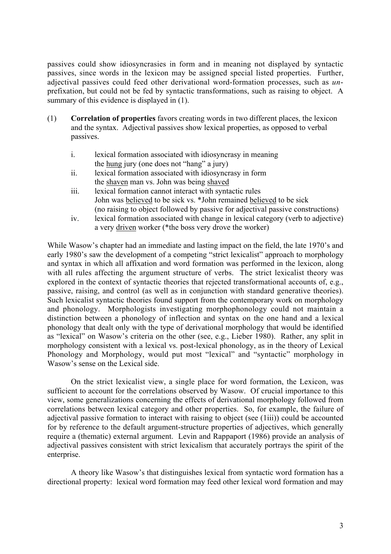passives could show idiosyncrasies in form and in meaning not displayed by syntactic passives, since words in the lexicon may be assigned special listed properties. Further, adjectival passives could feed other derivational word-formation processes, such as *un*prefixation, but could not be fed by syntactic transformations, such as raising to object. A summary of this evidence is displayed in  $(1)$ .

- (1) Correlation of properties favors creating words in two different places, the lexicon and the syntax. Adjectival passives show lexical properties, as opposed to verbal passives.
	- i. lexical formation associated with idiosyncrasy in meaning the hung jury (one does not "hang" a jury)
	- ii. lexical formation associated with idiosyncrasy in form the shaven man vs. John was being shaved
	- iii. lexical formation cannot interact with syntactic rules John was believed to be sick vs. \*John remained believed to be sick (no raising to object followed by passive for adjectival passive constructions)
	- iv. lexical formation associated with change in lexical category (verb to adjective) a very driven worker (\*the boss very drove the worker)

While Wasow's chapter had an immediate and lasting impact on the field, the late 1970's and early 1980's saw the development of a competing "strict lexicalist" approach to morphology and syntax in which all affixation and word formation was performed in the lexicon, along with all rules affecting the argument structure of verbs. The strict lexicalist theory was explored in the context of syntactic theories that rejected transformational accounts of, e.g., passive, raising, and control (as well as in conjunction with standard generative theories). Such lexicalist syntactic theories found support from the contemporary work on morphology and phonology. Morphologists investigating morphophonology could not maintain a distinction between a phonology of inflection and syntax on the one hand and a lexical phonology that dealt only with the type of derivational morphology that would be identified as "lexical" on Wasow's criteria on the other (see, e.g., Lieber 1980). Rather, any split in morphology consistent with a lexical vs. post-lexical phonology, as in the theory of Lexical Phonology and Morphology, would put most "lexical" and "syntactic" morphology in Wasow's sense on the Lexical side.

On the strict lexicalist view, a single place for word formation, the Lexicon, was sufficient to account for the correlations observed by Wasow. Of crucial importance to this view, some generalizations concerning the effects of derivational morphology followed from correlations between lexical category and other properties. So, for example, the failure of adjectival passive formation to interact with raising to object (see (1iii)) could be accounted for by reference to the default argument-structure properties of adjectives, which generally require a (thematic) external argument. Levin and Rappaport (1986) provide an analysis of adjectival passives consistent with strict lexicalism that accurately portrays the spirit of the enterprise.

A theory like Wasow's that distinguishes lexical from syntactic word formation has a directional property: lexical word formation may feed other lexical word formation and may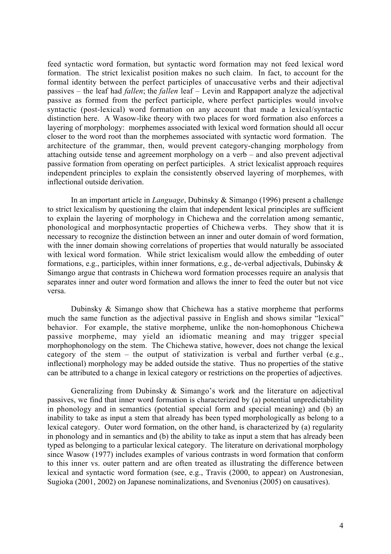feed syntactic word formation, but syntactic word formation may not feed lexical word formation. The strict lexicalist position makes no such claim. In fact, to account for the formal identity between the perfect participles of unaccusative verbs and their adjectival passives – the leaf had *fallen*; the *fallen* leaf – Levin and Rappaport analyze the adjectival passive as formed from the perfect participle, where perfect participles would involve syntactic (post-lexical) word formation on any account that made a lexical/syntactic distinction here. A Wasow-like theory with two places for word formation also enforces a layering of morphology: morphemes associated with lexical word formation should all occur closer to the word root than the morphemes associated with syntactic word formation. The architecture of the grammar, then, would prevent category-changing morphology from attaching outside tense and agreement morphology on a verb – and also prevent adjectival passive formation from operating on perfect participles. A strict lexicalist approach requires independent principles to explain the consistently observed layering of morphemes, with inflectional outside derivation.

In an important article in *Language*, Dubinsky & Simango (1996) present a challenge to strict lexicalism by questioning the claim that independent lexical principles are sufficient to explain the layering of morphology in Chichewa and the correlation among semantic, phonological and morphosyntactic properties of Chichewa verbs. They show that it is necessary to recognize the distinction between an inner and outer domain of word formation, with the inner domain showing correlations of properties that would naturally be associated with lexical word formation. While strict lexicalism would allow the embedding of outer formations, e.g., participles, within inner formations, e.g., de-verbal adjectivals, Dubinsky & Simango argue that contrasts in Chichewa word formation processes require an analysis that separates inner and outer word formation and allows the inner to feed the outer but not vice versa.

Dubinsky & Simango show that Chichewa has a stative morpheme that performs much the same function as the adjectival passive in English and shows similar "lexical" behavior. For example, the stative morpheme, unlike the non-homophonous Chichewa passive morpheme, may yield an idiomatic meaning and may trigger special morphophonology on the stem. The Chichewa stative, however, does not change the lexical category of the stem – the output of stativization is verbal and further verbal (e.g., inflectional) morphology may be added outside the stative. Thus no properties of the stative can be attributed to a change in lexical category or restrictions on the properties of adjectives.

Generalizing from Dubinsky & Simango's work and the literature on adjectival passives, we find that inner word formation is characterized by (a) potential unpredictability in phonology and in semantics (potential special form and special meaning) and (b) an inability to take as input a stem that already has been typed morphologically as belong to a lexical category. Outer word formation, on the other hand, is characterized by (a) regularity in phonology and in semantics and (b) the ability to take as input a stem that has already been typed as belonging to a particular lexical category. The literature on derivational morphology since Wasow (1977) includes examples of various contrasts in word formation that conform to this inner vs. outer pattern and are often treated as illustrating the difference between lexical and syntactic word formation (see, e.g., Travis (2000, to appear) on Austronesian, Sugioka (2001, 2002) on Japanese nominalizations, and Svenonius (2005) on causatives).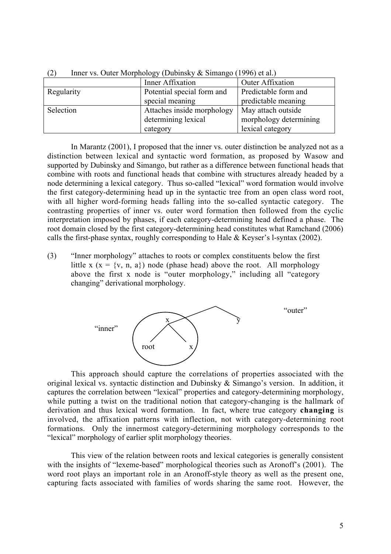| .<br>$\mu$ and $\mu$ and $\mu$ and $\mu$ and $\mu$ and $\mu$ and $\mu$ and $\mu$ and $\mu$ and $\mu$ and $\mu$ and $\mu$ and $\mu$ and $\mu$ and $\mu$ and $\mu$ and $\mu$ and $\mu$ and $\mu$ and $\mu$ and $\mu$ and $\mu$ and $\mu$ and $\mu$ and $\mu$ |                            |                         |  |
|------------------------------------------------------------------------------------------------------------------------------------------------------------------------------------------------------------------------------------------------------------|----------------------------|-------------------------|--|
|                                                                                                                                                                                                                                                            | Inner Affixation           | <b>Outer Affixation</b> |  |
| Regularity                                                                                                                                                                                                                                                 | Potential special form and | Predictable form and    |  |
|                                                                                                                                                                                                                                                            | special meaning            | predictable meaning     |  |
| Selection                                                                                                                                                                                                                                                  | Attaches inside morphology | May attach outside      |  |
|                                                                                                                                                                                                                                                            | determining lexical        | morphology determining  |  |
|                                                                                                                                                                                                                                                            | category                   | lexical category        |  |

(2) Inner vs. Outer Morphology (Dubinsky & Simango (1996) et al.)

In Marantz (2001), I proposed that the inner vs. outer distinction be analyzed not as a distinction between lexical and syntactic word formation, as proposed by Wasow and supported by Dubinsky and Simango, but rather as a difference between functional heads that combine with roots and functional heads that combine with structures already headed by a node determining a lexical category. Thus so-called "lexical" word formation would involve the first category-determining head up in the syntactic tree from an open class word root, with all higher word-forming heads falling into the so-called syntactic category. The contrasting properties of inner vs. outer word formation then followed from the cyclic interpretation imposed by phases, if each category-determining head defined a phase. The root domain closed by the first category-determining head constitutes what Ramchand (2006) calls the first-phase syntax, roughly corresponding to Hale & Keyser's l-syntax (2002).

(3) "Inner morphology" attaches to roots or complex constituents below the first little x (x = {v, n, a}) node (phase head) above the root. All morphology above the first x node is "outer morphology," including all "category changing" derivational morphology.



This approach should capture the correlations of properties associated with the original lexical vs. syntactic distinction and Dubinsky & Simango's version. In addition, it captures the correlation between "lexical" properties and category-determining morphology, while putting a twist on the traditional notion that category-changing is the hallmark of derivation and thus lexical word formation. In fact, where true category changing is involved, the affixation patterns with inflection, not with category-determining root formations. Only the innermost category-determining morphology corresponds to the "lexical" morphology of earlier split morphology theories.

This view of the relation between roots and lexical categories is generally consistent with the insights of "lexeme-based" morphological theories such as Aronoff's (2001). The word root plays an important role in an Aronoff-style theory as well as the present one, capturing facts associated with families of words sharing the same root. However, the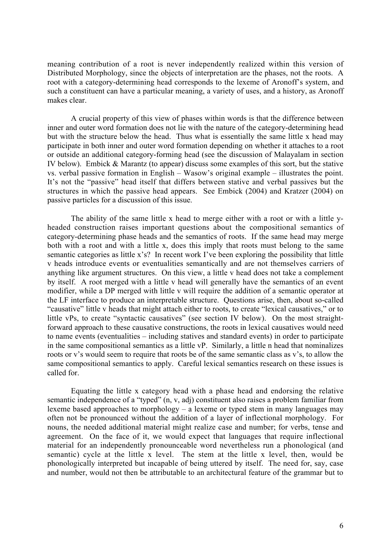meaning contribution of a root is never independently realized within this version of Distributed Morphology, since the objects of interpretation are the phases, not the roots. A root with a category-determining head corresponds to the lexeme of Aronoff's system, and such a constituent can have a particular meaning, a variety of uses, and a history, as Aronoff makes clear.

A crucial property of this view of phases within words is that the difference between inner and outer word formation does not lie with the nature of the category-determining head but with the structure below the head. Thus what is essentially the same little x head may participate in both inner and outer word formation depending on whether it attaches to a root or outside an additional category-forming head (see the discussion of Malayalam in section IV below). Embick & Marantz (to appear) discuss some examples of this sort, but the stative vs. verbal passive formation in English – Wasow's original example – illustrates the point. It's not the "passive" head itself that differs between stative and verbal passives but the structures in which the passive head appears. See Embick (2004) and Kratzer (2004) on passive particles for a discussion of this issue.

The ability of the same little x head to merge either with a root or with a little yheaded construction raises important questions about the compositional semantics of category-determining phase heads and the semantics of roots. If the same head may merge both with a root and with a little x, does this imply that roots must belong to the same semantic categories as little x's? In recent work I've been exploring the possibility that little v heads introduce events or eventualities semantically and are not themselves carriers of anything like argument structures. On this view, a little v head does not take a complement by itself. A root merged with a little v head will generally have the semantics of an event modifier, while a DP merged with little v will require the addition of a semantic operator at the LF interface to produce an interpretable structure. Questions arise, then, about so-called "causative" little v heads that might attach either to roots, to create "lexical causatives," or to little vPs, to create "syntactic causatives" (see section IV below). On the most straightforward approach to these causative constructions, the roots in lexical causatives would need to name events (eventualities – including statives and standard events) in order to participate in the same compositional semantics as a little vP. Similarly, a little n head that nominalizes roots or v's would seem to require that roots be of the same semantic class as v's, to allow the same compositional semantics to apply. Careful lexical semantics research on these issues is called for.

Equating the little x category head with a phase head and endorsing the relative semantic independence of a "typed" (n, v, adj) constituent also raises a problem familiar from lexeme based approaches to morphology – a lexeme or typed stem in many languages may often not be pronounced without the addition of a layer of inflectional morphology. For nouns, the needed additional material might realize case and number; for verbs, tense and agreement. On the face of it, we would expect that languages that require inflectional material for an independently pronounceable word nevertheless run a phonological (and semantic) cycle at the little x level. The stem at the little x level, then, would be phonologically interpreted but incapable of being uttered by itself. The need for, say, case and number, would not then be attributable to an architectural feature of the grammar but to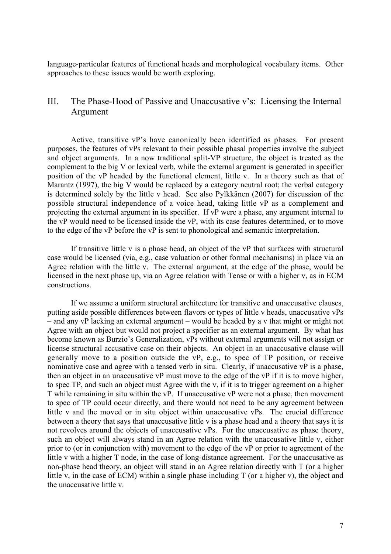language-particular features of functional heads and morphological vocabulary items. Other approaches to these issues would be worth exploring.

# III. The Phase-Hood of Passive and Unaccusative v's: Licensing the Internal Argument

Active, transitive vP's have canonically been identified as phases. For present purposes, the features of vPs relevant to their possible phasal properties involve the subject and object arguments. In a now traditional split-VP structure, the object is treated as the complement to the big V or lexical verb, while the external argument is generated in specifier position of the vP headed by the functional element, little v. In a theory such as that of Marantz (1997), the big V would be replaced by a category neutral root; the verbal category is determined solely by the little v head. See also Pylkkänen (2007) for discussion of the possible structural independence of a voice head, taking little vP as a complement and projecting the external argument in its specifier. If vP were a phase, any argument internal to the vP would need to be licensed inside the vP, with its case features determined, or to move to the edge of the vP before the vP is sent to phonological and semantic interpretation.

If transitive little v is a phase head, an object of the vP that surfaces with structural case would be licensed (via, e.g., case valuation or other formal mechanisms) in place via an Agree relation with the little v. The external argument, at the edge of the phase, would be licensed in the next phase up, via an Agree relation with Tense or with a higher v, as in ECM constructions.

If we assume a uniform structural architecture for transitive and unaccusative clauses, putting aside possible differences between flavors or types of little v heads, unaccusative vPs – and any vP lacking an external argument – would be headed by a v that might or might not Agree with an object but would not project a specifier as an external argument. By what has become known as Burzio's Generalization, vPs without external arguments will not assign or license structural accusative case on their objects. An object in an unaccusative clause will generally move to a position outside the vP, e.g., to spec of TP position, or receive nominative case and agree with a tensed verb in situ. Clearly, if unaccusative vP is a phase, then an object in an unaccusative vP must move to the edge of the vP if it is to move higher, to spec TP, and such an object must Agree with the v, if it is to trigger agreement on a higher T while remaining in situ within the vP. If unaccusative vP were not a phase, then movement to spec of TP could occur directly, and there would not need to be any agreement between little v and the moved or in situ object within unaccusative vPs. The crucial difference between a theory that says that unaccusative little v is a phase head and a theory that says it is not revolves around the objects of unaccusative vPs. For the unaccusative as phase theory, such an object will always stand in an Agree relation with the unaccusative little v, either prior to (or in conjunction with) movement to the edge of the vP or prior to agreement of the little v with a higher T node, in the case of long-distance agreement. For the unaccusative as non-phase head theory, an object will stand in an Agree relation directly with T (or a higher little v, in the case of ECM) within a single phase including T (or a higher v), the object and the unaccusative little v.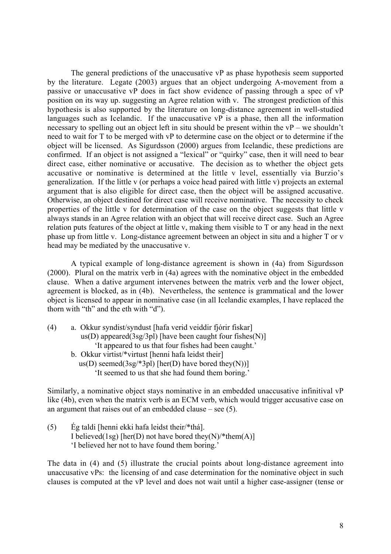The general predictions of the unaccusative vP as phase hypothesis seem supported by the literature. Legate (2003) argues that an object undergoing A-movement from a passive or unaccusative vP does in fact show evidence of passing through a spec of vP position on its way up. suggesting an Agree relation with v. The strongest prediction of this hypothesis is also supported by the literature on long-distance agreement in well-studied languages such as Icelandic. If the unaccusative vP is a phase, then all the information necessary to spelling out an object left in situ should be present within the vP – we shouldn't need to wait for T to be merged with vP to determine case on the object or to determine if the object will be licensed. As Sigurdsson (2000) argues from Icelandic, these predictions are confirmed. If an object is not assigned a "lexical" or "quirky" case, then it will need to bear direct case, either nominative or accusative. The decision as to whether the object gets accusative or nominative is determined at the little v level, essentially via Burzio's generalization. If the little v (or perhaps a voice head paired with little v) projects an external argument that is also eligible for direct case, then the object will be assigned accusative. Otherwise, an object destined for direct case will receive nominative. The necessity to check properties of the little v for determination of the case on the object suggests that little v always stands in an Agree relation with an object that will receive direct case. Such an Agree relation puts features of the object at little v, making them visible to T or any head in the next phase up from little v. Long-distance agreement between an object in situ and a higher T or v head may be mediated by the unaccusative v.

A typical example of long-distance agreement is shown in (4a) from Sigurdsson (2000). Plural on the matrix verb in (4a) agrees with the nominative object in the embedded clause. When a dative argument intervenes between the matrix verb and the lower object, agreement is blocked, as in (4b). Nevertheless, the sentence is grammatical and the lower object is licensed to appear in nominative case (in all Icelandic examples, I have replaced the thorn with "th" and the eth with "d").

| (4) | a. Okkur syndist/syndust [hafa verid veiddir fjórir fiskar] |
|-----|-------------------------------------------------------------|
|     | $us(D)$ appeared(3sg/3pl) [have been caught four fishes(N)] |
|     | 'It appeared to us that four fishes had been caught.'       |
|     | b. Okkur virtist/*virtust [henni hafa leidst their]         |
|     | us(D) seemed(3sg/*3pl) [her(D) have bored they(N))]         |
|     | It seemed to us that she had found them boring.             |

Similarly, a nominative object stays nominative in an embedded unaccusative infinitival vP like (4b), even when the matrix verb is an ECM verb, which would trigger accusative case on an argument that raises out of an embedded clause – see (5).

(5) Ég taldi [henni ekki hafa leidst their/\*thá]. I believed(1sg) [her(D) not have bored they(N)/\*them(A)] 'I believed her not to have found them boring.'

The data in (4) and (5) illustrate the crucial points about long-distance agreement into unaccusative vPs: the licensing of and case determination for the nominative object in such clauses is computed at the vP level and does not wait until a higher case-assigner (tense or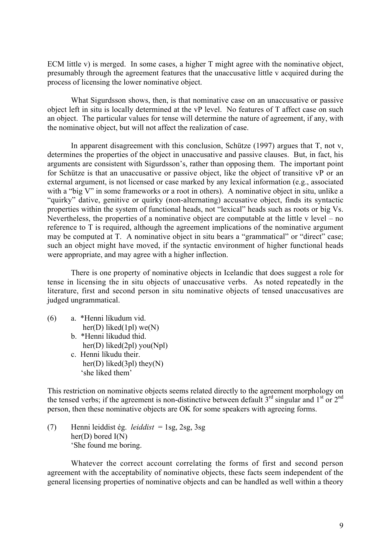ECM little v) is merged. In some cases, a higher T might agree with the nominative object, presumably through the agreement features that the unaccusative little v acquired during the process of licensing the lower nominative object.

What Sigurdsson shows, then, is that nominative case on an unaccusative or passive object left in situ is locally determined at the vP level. No features of T affect case on such an object. The particular values for tense will determine the nature of agreement, if any, with the nominative object, but will not affect the realization of case.

In apparent disagreement with this conclusion, Schütze (1997) argues that T, not v, determines the properties of the object in unaccusative and passive clauses. But, in fact, his arguments are consistent with Sigurdsson's, rather than opposing them. The important point for Schütze is that an unaccusative or passive object, like the object of transitive vP or an external argument, is not licensed or case marked by any lexical information (e.g., associated with a "big V" in some frameworks or a root in others). A nominative object in situ, unlike a "quirky" dative, genitive or quirky (non-alternating) accusative object, finds its syntactic properties within the system of functional heads, not "lexical" heads such as roots or big Vs. Nevertheless, the properties of a nominative object are computable at the little v level – no reference to T is required, although the agreement implications of the nominative argument may be computed at T. A nominative object in situ bears a "grammatical" or "direct" case; such an object might have moved, if the syntactic environment of higher functional heads were appropriate, and may agree with a higher inflection.

There is one property of nominative objects in Icelandic that does suggest a role for tense in licensing the in situ objects of unaccusative verbs. As noted repeatedly in the literature, first and second person in situ nominative objects of tensed unaccusatives are judged ungrammatical.

- (6) a. \*Henni líkudum vid. her(D) liked(1pl) we(N) b. \*Henni líkudud thid. her(D) liked(2pl) you(Npl)
	- c. Henni líkudu their. her(D) liked(3pl) they(N) 'she liked them'

This restriction on nominative objects seems related directly to the agreement morphology on the tensed verbs; if the agreement is non-distinctive between default  $3<sup>rd</sup>$  singular and  $1<sup>st</sup>$  or  $2<sup>nd</sup>$ person, then these nominative objects are OK for some speakers with agreeing forms.

(7) Henni leiddist ég. *leiddist* = 1sg, 2sg, 3sg her(D) bored I(N) 'She found me boring.

Whatever the correct account correlating the forms of first and second person agreement with the acceptability of nominative objects, these facts seem independent of the general licensing properties of nominative objects and can be handled as well within a theory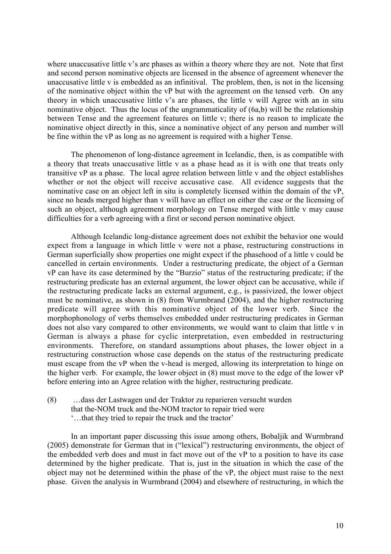where unaccusative little v's are phases as within a theory where they are not. Note that first and second person nominative objects are licensed in the absence of agreement whenever the unaccusative little v is embedded as an infinitival. The problem, then, is not in the licensing of the nominative object within the vP but with the agreement on the tensed verb. On any theory in which unaccusative little v's are phases, the little v will Agree with an in situ nominative object. Thus the locus of the ungrammaticality of (6a,b) will be the relationship between Tense and the agreement features on little v; there is no reason to implicate the nominative object directly in this, since a nominative object of any person and number will be fine within the vP as long as no agreement is required with a higher Tense.

The phenomenon of long-distance agreement in Icelandic, then, is as compatible with a theory that treats unaccusative little v as a phase head as it is with one that treats only transitive vP as a phase. The local agree relation between little v and the object establishes whether or not the object will receive accusative case. All evidence suggests that the nominative case on an object left in situ is completely licensed within the domain of the vP, since no heads merged higher than v will have an effect on either the case or the licensing of such an object, although agreement morphology on Tense merged with little v may cause difficulties for a verb agreeing with a first or second person nominative object.

Although Icelandic long-distance agreement does not exhibit the behavior one would expect from a language in which little v were not a phase, restructuring constructions in German superficially show properties one might expect if the phasehood of a little v could be cancelled in certain environments. Under a restructuring predicate, the object of a German vP can have its case determined by the "Burzio" status of the restructuring predicate; if the restructuring predicate has an external argument, the lower object can be accusative, while if the restructuring predicate lacks an external argument, e.g., is passivized, the lower object must be nominative, as shown in (8) from Wurmbrand (2004), and the higher restructuring predicate will agree with this nominative object of the lower verb. Since the morphophonology of verbs themselves embedded under restructuring predicates in German does not also vary compared to other environments, we would want to claim that little v in German is always a phase for cyclic interpretation, even embedded in restructuring environments. Therefore, on standard assumptions about phases, the lower object in a restructuring construction whose case depends on the status of the restructuring predicate must escape from the vP when the v-head is merged, allowing its interpretation to hinge on the higher verb. For example, the lower object in (8) must move to the edge of the lower vP before entering into an Agree relation with the higher, restructuring predicate.

(8) …dass der Lastwagen und der Traktor zu reparieren versucht wurden that the-NOM truck and the-NOM tractor to repair tried were '…that they tried to repair the truck and the tractor'

In an important paper discussing this issue among others, Bobaljik and Wurmbrand (2005) demonstrate for German that in ("lexical") restructuring environments, the object of the embedded verb does and must in fact move out of the vP to a position to have its case determined by the higher predicate. That is, just in the situation in which the case of the object may not be determined within the phase of the vP, the object must raise to the next phase. Given the analysis in Wurmbrand (2004) and elsewhere of restructuring, in which the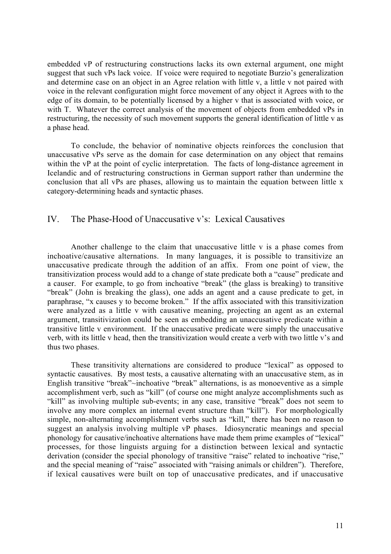embedded vP of restructuring constructions lacks its own external argument, one might suggest that such vPs lack voice. If voice were required to negotiate Burzio's generalization and determine case on an object in an Agree relation with little v, a little v not paired with voice in the relevant configuration might force movement of any object it Agrees with to the edge of its domain, to be potentially licensed by a higher v that is associated with voice, or with T. Whatever the correct analysis of the movement of objects from embedded vPs in restructuring, the necessity of such movement supports the general identification of little v as a phase head.

To conclude, the behavior of nominative objects reinforces the conclusion that unaccusative vPs serve as the domain for case determination on any object that remains within the vP at the point of cyclic interpretation. The facts of long-distance agreement in Icelandic and of restructuring constructions in German support rather than undermine the conclusion that all vPs are phases, allowing us to maintain the equation between little x category-determining heads and syntactic phases.

#### IV. The Phase-Hood of Unaccusative v's: Lexical Causatives

Another challenge to the claim that unaccusative little v is a phase comes from inchoative/causative alternations. In many languages, it is possible to transitivize an unaccusative predicate through the addition of an affix. From one point of view, the transitivization process would add to a change of state predicate both a "cause" predicate and a causer. For example, to go from inchoative "break" (the glass is breaking) to transitive "break" (John is breaking the glass), one adds an agent and a cause predicate to get, in paraphrase, "x causes y to become broken." If the affix associated with this transitivization were analyzed as a little v with causative meaning, projecting an agent as an external argument, transitivization could be seen as embedding an unaccusative predicate within a transitive little v environment. If the unaccusative predicate were simply the unaccusative verb, with its little v head, then the transitivization would create a verb with two little v's and thus two phases.

These transitivity alternations are considered to produce "lexical" as opposed to syntactic causatives. By most tests, a causative alternating with an unaccusative stem, as in English transitive "break"~inchoative "break" alternations, is as monoeventive as a simple accomplishment verb, such as "kill" (of course one might analyze accomplishments such as "kill" as involving multiple sub-events; in any case, transitive "break" does not seem to involve any more complex an internal event structure than "kill"). For morphologically simple, non-alternating accomplishment verbs such as "kill," there has been no reason to suggest an analysis involving multiple vP phases. Idiosyncratic meanings and special phonology for causative/inchoative alternations have made them prime examples of "lexical" processes, for those linguists arguing for a distinction between lexical and syntactic derivation (consider the special phonology of transitive "raise" related to inchoative "rise," and the special meaning of "raise" associated with "raising animals or children"). Therefore, if lexical causatives were built on top of unaccusative predicates, and if unaccusative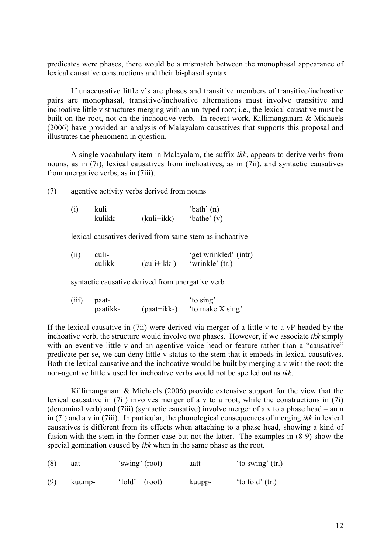predicates were phases, there would be a mismatch between the monophasal appearance of lexical causative constructions and their bi-phasal syntax.

If unaccusative little v's are phases and transitive members of transitive/inchoative pairs are monophasal, transitive/inchoative alternations must involve transitive and inchoative little v structures merging with an un-typed root; i.e., the lexical causative must be built on the root, not on the inchoative verb. In recent work, Killimanganam & Michaels (2006) have provided an analysis of Malayalam causatives that supports this proposal and illustrates the phenomena in question.

A single vocabulary item in Malayalam, the suffix *ikk*, appears to derive verbs from nouns, as in (7i), lexical causatives from inchoatives, as in (7ii), and syntactic causatives from unergative verbs, as in (7iii).

(7) agentive activity verbs derived from nouns

| (i) | kuli    | 'bath' $(n)$ |               |
|-----|---------|--------------|---------------|
|     | kulikk- | $(kuli+ikk)$ | 'bathe' $(v)$ |

lexical causatives derived from same stem as inchoative

| (ii) | culi-   |               | 'get wrinkled' (intr) |  |  |
|------|---------|---------------|-----------------------|--|--|
|      | culikk- | $(culi+ikk-)$ | 'wrinkle' (tr.)       |  |  |

syntactic causative derived from unergative verb

| (iii) | paat-    |             | 'to sing'        |  |
|-------|----------|-------------|------------------|--|
|       | paatikk- | (paat+ikk-) | 'to make X sing' |  |

If the lexical causative in (7ii) were derived via merger of a little v to a vP headed by the inchoative verb, the structure would involve two phases. However, if we associate *ikk* simply with an eventive little v and an agentive voice head or feature rather than a "causative" predicate per se, we can deny little v status to the stem that it embeds in lexical causatives. Both the lexical causative and the inchoative would be built by merging a v with the root; the non-agentive little v used for inchoative verbs would not be spelled out as *ikk*.

Killimanganam & Michaels (2006) provide extensive support for the view that the lexical causative in (7ii) involves merger of a v to a root, while the constructions in (7i) (denominal verb) and (7iii) (syntactic causative) involve merger of a v to a phase head – an n in (7i) and a v in (7iii). In particular, the phonological consequences of merging *ikk* in lexical causatives is different from its effects when attaching to a phase head, showing a kind of fusion with the stem in the former case but not the latter. The examples in (8-9) show the special gemination caused by *ikk* when in the same phase as the root.

| (8) | aat-   | 'swing' (root) | aatt-  | 'to swing' (tr.)  |
|-----|--------|----------------|--------|-------------------|
| (9) | kuump- | 'fold' (root)  | kuupp- | 'to fold' $(tr.)$ |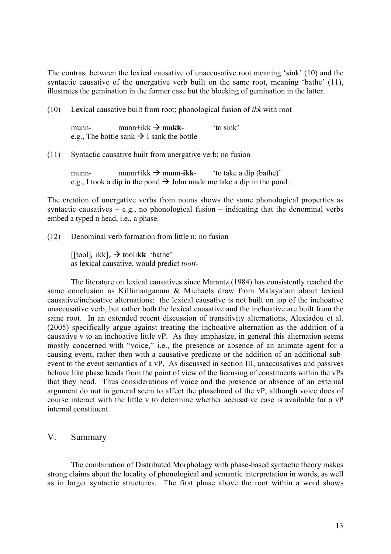The contrast between the lexical causative of unaccusative root meaning 'sink' (10) and the syntactic causative of the unergative verb built on the same root, meaning 'bathe' (11), illustrates the gemination in the former case but the blocking of gemination in the latter.

(10) Lexical causative built from root; phonological fusion of *ikk* with root

munn- munn+ikk  $\rightarrow$  mukk- 'to sink' e.g., The bottle sank  $\rightarrow$  I sank the bottle

(11) Syntactic causative built from unergative verb; no fusion

munn- munn+ikk  $\rightarrow$  munn-ikk- 'to take a dip (bathe)' e.g., I took a dip in the pond  $\rightarrow$  John made me take a dip in the pond.

The creation of unergative verbs from nouns shows the same phonological properties as syntactic causatives – e.g., no phonological fusion – indicating that the denominal verbs embed a typed n head, i.e., a phase.

(12) Denominal verb formation from little n; no fusion

 $[$ [tool]<sub>n</sub> ikk]<sub>v</sub>  $\rightarrow$  tooli**kk** 'bathe' as lexical causative, would predict *toott-*

The literature on lexical causatives since Marantz (1984) has consistently reached the same conclusion as Killimanganam & Michaels draw from Malayalam about lexical causative/inchoative alternations: the lexical causative is not built on top of the inchoative unaccusative verb, but rather both the lexical causative and the inchoative are built from the same root. In an extended recent discussion of transitivity alternations, Alexiadou et al. (2005) specifically argue against treating the inchoative alternation as the addition of a causative v to an inchoative little vP. As they emphasize, in general this alternation seems mostly concerned with "voice," i.e., the presence or absence of an animate agent for a causing event, rather then with a causative predicate or the addition of an additional subevent to the event semantics of a vP. As discussed in section III, unaccusatives and passives behave like phase heads from the point of view of the licensing of constituents within the vPs that they head. Thus considerations of voice and the presence or absence of an external argument do not in general seem to affect the phasehood of the vP, although voice does of course interact with the little v to determine whether accusative case is available for a vP internal constituent.

## V. Summary

The combination of Distributed Morphology with phase-based syntactic theory makes strong claims about the locality of phonological and semantic interpretation in words, as well as in larger syntactic structures. The first phase above the root within a word shows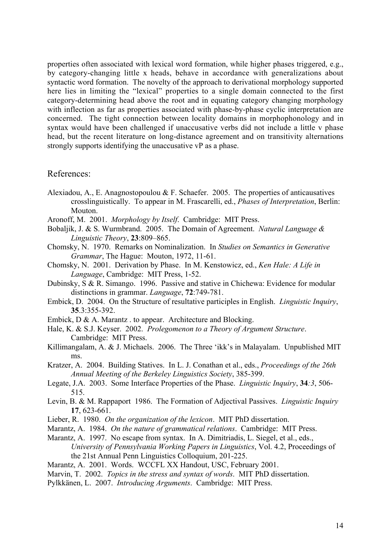properties often associated with lexical word formation, while higher phases triggered, e.g., by category-changing little x heads, behave in accordance with generalizations about syntactic word formation. The novelty of the approach to derivational morphology supported here lies in limiting the "lexical" properties to a single domain connected to the first category-determining head above the root and in equating category changing morphology with inflection as far as properties associated with phase-by-phase cyclic interpretation are concerned. The tight connection between locality domains in morphophonology and in syntax would have been challenged if unaccusative verbs did not include a little v phase head, but the recent literature on long-distance agreement and on transitivity alternations strongly supports identifying the unaccusative vP as a phase.

#### References:

- Alexiadou, A., E. Anagnostopoulou  $&$  F. Schaefer. 2005. The properties of anticausatives crosslinguistically. To appear in M. Frascarelli, ed., *Phases of Interpretation*, Berlin: Mouton.
- Aronoff, M. 2001. *Morphology by Itself*. Cambridge: MIT Press.
- Bobaljik, J. & S. Wurmbrand. 2005. The Domain of Agreement. *Natural Language & Linguistic Theory*, 23:809–865.
- Chomsky, N. 1970. Remarks on Nominalization. In *Studies on Semantics in Generative Grammar*, The Hague: Mouton, 1972, 11-61.
- Chomsky, N. 2001. Derivation by Phase. In M. Kenstowicz, ed., *Ken Hale: A Life in Language*, Cambridge: MIT Press, 1-52.
- Dubinsky, S & R. Simango. 1996. Passive and stative in Chichewa: Evidence for modular distinctions in grammar. *Language*, 72:749-781.
- Embick, D. 2004. On the Structure of resultative participles in English. *Linguistic Inquiry*, 35.3:355-392.
- Embick, D & A. Marantz . to appear. Architecture and Blocking.
- Hale, K. & S.J. Keyser. 2002. *Prolegomenon to a Theory of Argument Structure*. Cambridge: MIT Press.
- Killimangalam, A. & J. Michaels. 2006. The Three 'ikk's in Malayalam. Unpublished MIT ms.
- Kratzer, A. 2004. Building Statives. In L. J. Conathan et al., eds., *Proceedings of the 26th Annual Meeting of the Berkeley Linguistics Society*, 385-399.
- Legate, J.A. 2003. Some Interface Properties of the Phase. *Linguistic Inquiry*, 34*:3*, 506- 515.
- Levin, B. & M. Rappaport 1986. The Formation of Adjectival Passives. *Linguistic Inquiry* 17, 623-661.
- Lieber, R. 1980. *On the organization of the lexicon*. MIT PhD dissertation.
- Marantz, A. 1984. *On the nature of grammatical relations*. Cambridge: MIT Press.
- Marantz, A. 1997. No escape from syntax. In A. Dimitriadis, L. Siegel, et al., eds., *University of Pennsylvania Working Papers in Linguistics*, Vol. 4.2, Proceedings of the 21st Annual Penn Linguistics Colloquium, 201-225.
- Marantz, A. 2001. Words. WCCFL XX Handout, USC, February 2001.
- Marvin, T. 2002. *Topics in the stress and syntax of words*. MIT PhD dissertation.
- Pylkkänen, L. 2007. *Introducing Arguments*. Cambridge: MIT Press.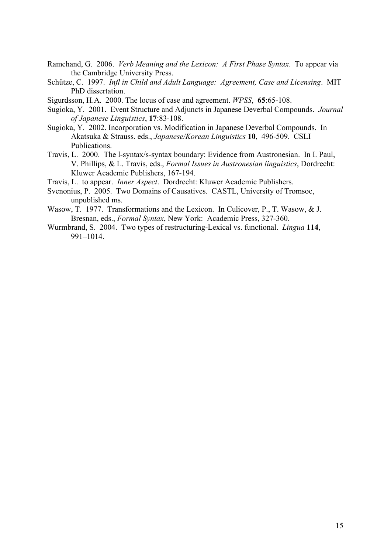- Ramchand, G. 2006. *Verb Meaning and the Lexicon: A First Phase Syntax*. To appear via the Cambridge University Press.
- Schütze, C. 1997. *Infl in Child and Adult Language: Agreement, Case and Licensing*. MIT PhD dissertation.

Sigurdsson, H.A. 2000. The locus of case and agreement. *WPSS*, 65:65-108.

- Sugioka, Y. 2001. Event Structure and Adjuncts in Japanese Deverbal Compounds. *Journal of Japanese Linguistics*, 17:83-108.
- Sugioka, Y. 2002. Incorporation vs. Modification in Japanese Deverbal Compounds. In Akatsuka & Strauss. eds., *Japanese/Korean Linguistics* 10, 496-509. CSLI Publications.
- Travis, L. 2000. The l-syntax/s-syntax boundary: Evidence from Austronesian. In I. Paul, V. Phillips, & L. Travis, eds., *Formal Issues in Austronesian linguistics*, Dordrecht: Kluwer Academic Publishers, 167-194.
- Travis, L. to appear. *Inner Aspect*. Dordrecht: Kluwer Academic Publishers.
- Svenonius, P. 2005. Two Domains of Causatives. CASTL, University of Tromsoe, unpublished ms.
- Wasow, T. 1977. Transformations and the Lexicon. In Culicover, P., T. Wasow, & J. Bresnan, eds., *Formal Syntax*, New York: Academic Press, 327-360.
- Wurmbrand, S. 2004. Two types of restructuring-Lexical vs. functional. *Lingua* 114, 991–1014.